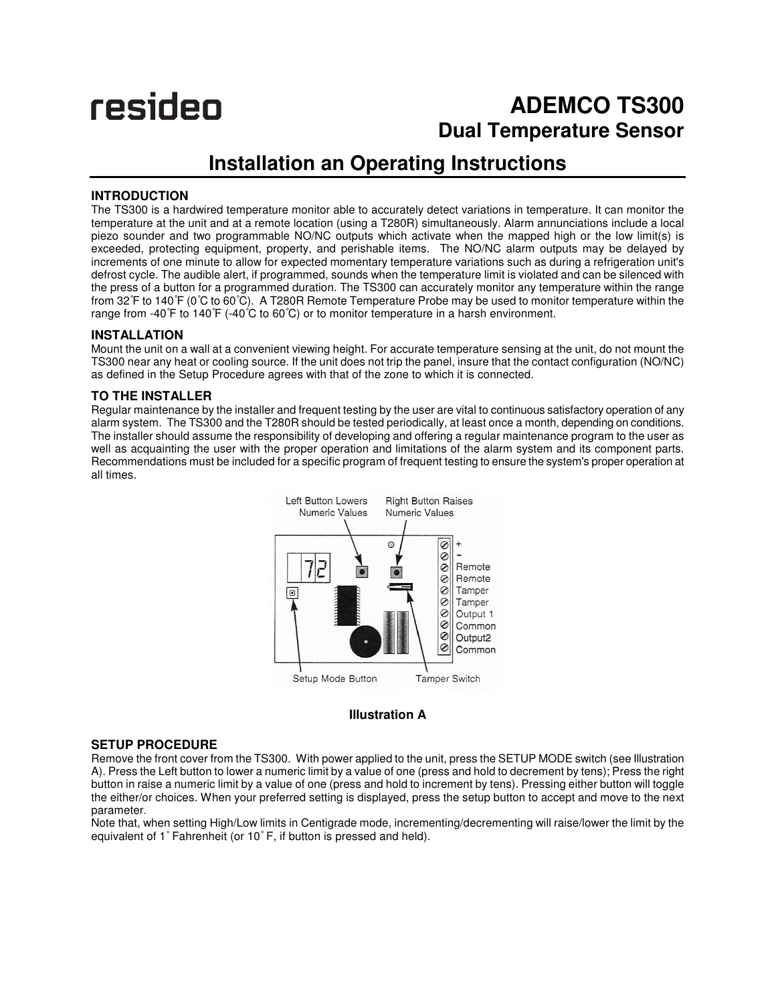# resideo

## **ADEMCO TS300 Dual Temperature Sensor**

### **Installation an Operating Instructions**

#### **INTRODUCTION**

The TS300 is a hardwired temperature monitor able to accurately detect variations in temperature. It can monitor the temperature at the unit and at a remote location (using a T280R) simultaneously. Alarm annunciations include a local piezo sounder and two programmable NO/NC outputs which activate when the mapped high or the low limit(s) is exceeded, protecting equipment, property, and perishable items. The NO/NC alarm outputs may be delayed by increments of one minute to allow for expected momentary temperature variations such as during a refrigeration unit's defrost cycle. The audible alert, if programmed, sounds when the temperature limit is violated and can be silenced with the press of a button for a programmed duration. The TS300 can accurately monitor any temperature within the range from 32°F to 140°F (0°C to 60°C). A T280R Remote Temperature Probe may be used to monitor temperature within the range from -40°F to 140°F (-40°C to 60°C) or to monitor temperature in a harsh environment.

#### **INSTALLATION**

Mount the unit on a wall at a convenient viewing height. For accurate temperature sensing at the unit, do not mount the TS300 near any heat or cooling source. If the unit does not trip the panel, insure that the contact configuration (NO/NC) as defined in the Setup Procedure agrees with that of the zone to which it is connected.

#### **TO THE INSTALLER**

Regular maintenance by the installer and frequent testing by the user are vital to continuous satisfactory operation of any alarm system. The TS300 and the T280R should be tested periodically, at least once a month, depending on conditions. The installer should assume the responsibility of developing and offering a regular maintenance program to the user as well as acquainting the user with the proper operation and limitations of the alarm system and its component parts. Recommendations must be included for a specific program of frequent testing to ensure the system's proper operation at all times.



#### **Illustration A**

#### **SETUP PROCEDURE**

Remove the front cover from the TS300. With power applied to the unit, press the SETUP MODE switch (see Illustration A). Press the Left button to lower a numeric limit by a value of one (press and hold to decrement by tens); Press the right button in raise a numeric limit by a value of one (press and hold to increment by tens). Pressing either button will toggle the either/or choices. When your preferred setting is displayed, press the setup button to accept and move to the next parameter.

Note that, when setting High/Low limits in Centigrade mode, incrementing/decrementing will raise/lower the limit by the equivalent of 1° Fahrenheit (or 10° F, if button is pressed and held).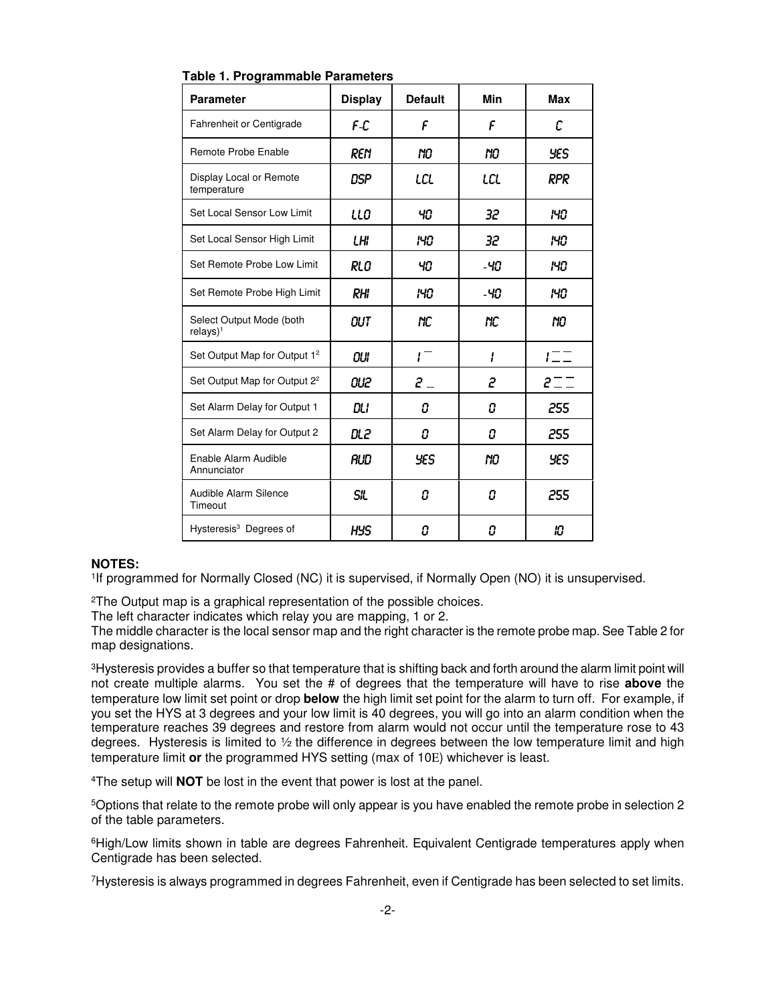| <b>Parameter</b>                         | <b>Display</b> | <b>Default</b>   | Min | <b>Max</b>    |  |
|------------------------------------------|----------------|------------------|-----|---------------|--|
| <b>Fahrenheit or Centigrade</b>          | F-C            | F                | F   | С             |  |
| Remote Probe Enable                      | REN            | NO               | NO  | YES           |  |
| Display Local or Remote<br>temperature   | <b>DSP</b>     | LCL              | LCL | RPR           |  |
| Set Local Sensor Low Limit               | LLO            | 40               | 32  | 140           |  |
| Set Local Sensor High Limit              | LHI            | 140              | 32  | 140           |  |
| Set Remote Probe Low Limit               | RLO            | 40               | -40 | 140           |  |
| Set Remote Probe High Limit              | <b>RHI</b>     | 140              | -40 | 140           |  |
| Select Output Mode (both<br>$relays)^1$  | OUT            | NС               | NС  | NО            |  |
| Set Output Map for Output 1 <sup>2</sup> | OUI            | $1^{-}$          | l   | $I = \square$ |  |
| Set Output Map for Output 2 <sup>2</sup> | OU2            | $\mathbf{2}$ $-$ | 2   | $2 = 7$       |  |
| Set Alarm Delay for Output 1             | DLI            | Ω                | Ω   | 255           |  |
| Set Alarm Delay for Output 2             | DL 2           | 0                | 0   | 255           |  |
| Enable Alarm Audible<br>Annunciator      | AUD            | <b>YES</b>       | nо  | <b>YES</b>    |  |
| Audible Alarm Silence<br>Timeout         | <b>SIL</b>     | 0                | O   | 255           |  |
| Hysteresis <sup>3</sup> Degrees of       | <b>HYS</b>     | 0                | Ω   | 10            |  |

**Table 1. Programmable Parameters** 

#### **NOTES:**

1 If programmed for Normally Closed (NC) it is supervised, if Normally Open (NO) it is unsupervised.

<sup>2</sup>The Output map is a graphical representation of the possible choices.

The left character indicates which relay you are mapping, 1 or 2.

The middle character is the local sensor map and the right character is the remote probe map. See Table 2 for map designations.

<sup>3</sup>Hysteresis provides a buffer so that temperature that is shifting back and forth around the alarm limit point will not create multiple alarms. You set the # of degrees that the temperature will have to rise **above** the temperature low limit set point or drop **below** the high limit set point for the alarm to turn off. For example, if you set the HYS at 3 degrees and your low limit is 40 degrees, you will go into an alarm condition when the temperature reaches 39 degrees and restore from alarm would not occur until the temperature rose to 43 degrees. Hysteresis is limited to  $\frac{1}{2}$  the difference in degrees between the low temperature limit and high temperature limit **or** the programmed HYS setting (max of 10Ε) whichever is least.

<sup>4</sup>The setup will **NOT** be lost in the event that power is lost at the panel.

<sup>5</sup>Options that relate to the remote probe will only appear is you have enabled the remote probe in selection 2 of the table parameters.

<sup>6</sup>High/Low limits shown in table are degrees Fahrenheit. Equivalent Centigrade temperatures apply when Centigrade has been selected.

<sup>7</sup>Hysteresis is always programmed in degrees Fahrenheit, even if Centigrade has been selected to set limits.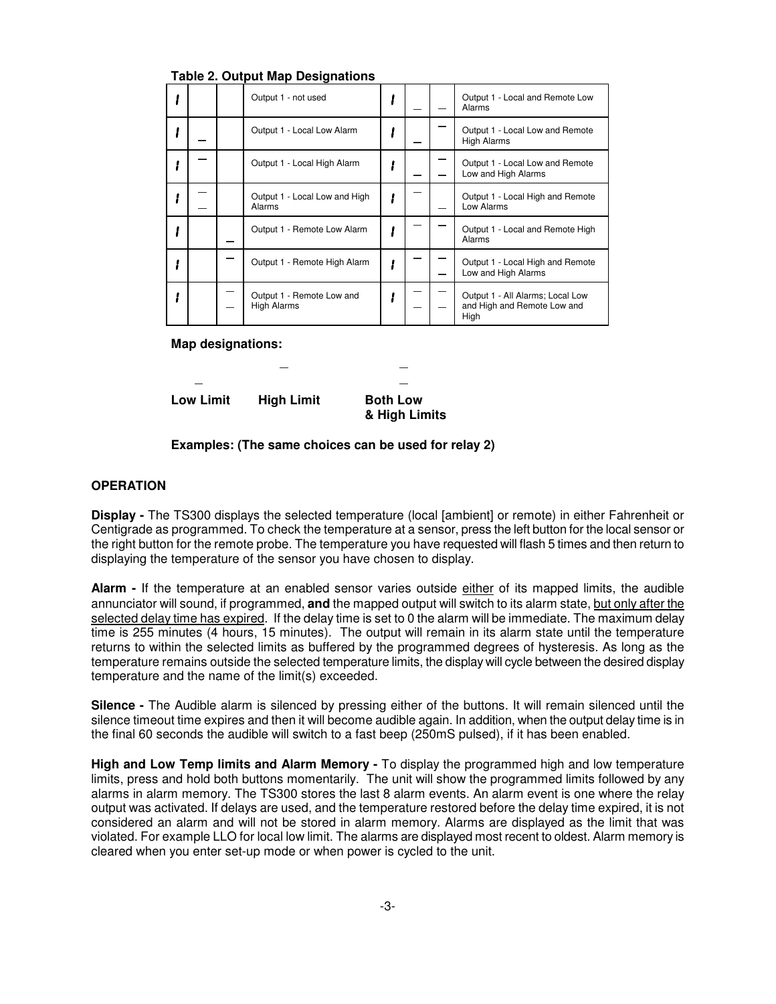| rapic L. Galpat map Deoignations |  |                                                 |  |  |  |                                                                         |
|----------------------------------|--|-------------------------------------------------|--|--|--|-------------------------------------------------------------------------|
|                                  |  | Output 1 - not used                             |  |  |  | Output 1 - Local and Remote Low<br>Alarms                               |
|                                  |  | Output 1 - Local Low Alarm                      |  |  |  | Output 1 - Local Low and Remote<br><b>High Alarms</b>                   |
|                                  |  | Output 1 - Local High Alarm                     |  |  |  | Output 1 - Local Low and Remote<br>Low and High Alarms                  |
|                                  |  | Output 1 - Local Low and High<br>Alarms         |  |  |  | Output 1 - Local High and Remote<br>Low Alarms                          |
|                                  |  | Output 1 - Remote Low Alarm                     |  |  |  | Output 1 - Local and Remote High<br>Alarms                              |
|                                  |  | Output 1 - Remote High Alarm                    |  |  |  | Output 1 - Local High and Remote<br>Low and High Alarms                 |
|                                  |  | Output 1 - Remote Low and<br><b>High Alarms</b> |  |  |  | Output 1 - All Alarms; Local Low<br>and High and Remote Low and<br>High |

**Table 2. Output Map Designations** 

**Map designations:** 

Low Limit High Limit Both Low

 **& High Limits** 

**Examples: (The same choices can be used for relay 2)**

#### **OPERATION**

**Display -** The TS300 displays the selected temperature (local [ambient] or remote) in either Fahrenheit or Centigrade as programmed. To check the temperature at a sensor, press the left button for the local sensor or the right button for the remote probe. The temperature you have requested will flash 5 times and then return to displaying the temperature of the sensor you have chosen to display.

**Alarm -** If the temperature at an enabled sensor varies outside either of its mapped limits, the audible annunciator will sound, if programmed, **and** the mapped output will switch to its alarm state, but only after the selected delay time has expired. If the delay time is set to 0 the alarm will be immediate. The maximum delay time is 255 minutes (4 hours, 15 minutes). The output will remain in its alarm state until the temperature returns to within the selected limits as buffered by the programmed degrees of hysteresis. As long as the temperature remains outside the selected temperature limits, the display will cycle between the desired display temperature and the name of the limit(s) exceeded.

**Silence -** The Audible alarm is silenced by pressing either of the buttons. It will remain silenced until the silence timeout time expires and then it will become audible again. In addition, when the output delay time is in the final 60 seconds the audible will switch to a fast beep (250mS pulsed), if it has been enabled.

**High and Low Temp limits and Alarm Memory -** To display the programmed high and low temperature limits, press and hold both buttons momentarily. The unit will show the programmed limits followed by any alarms in alarm memory. The TS300 stores the last 8 alarm events. An alarm event is one where the relay output was activated. If delays are used, and the temperature restored before the delay time expired, it is not considered an alarm and will not be stored in alarm memory. Alarms are displayed as the limit that was violated. For example LLO for local low limit. The alarms are displayed most recent to oldest. Alarm memory is cleared when you enter set-up mode or when power is cycled to the unit.